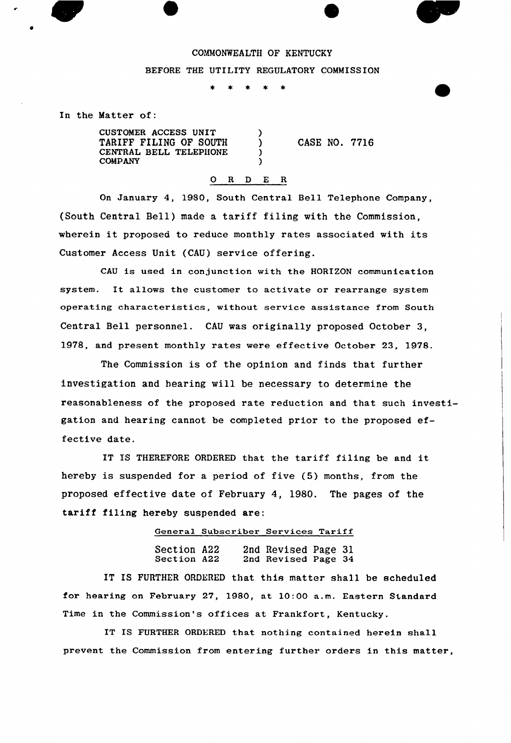## COMMONWEALTH OF KENTUCKY

## BEFORE THE UTILITY REGULATORY COMMISSION

λ

In the Matter of:

CUSTOMER ACCESS UNIT TARIFF FILING OF SOUTH CENTRAL BELL TEIEPHONE COMPANY

CASE NO. 7716

## 0 R <sup>D</sup> E R

On January 4, 1980, South Central Bell Telephone Company, (South Central Bell) made a tariff filing with the Commission, wherein it proposed to reduce monthly rates associated with its Customer Access Unit (CAU) service offering.

CAU is used in conjunction with the HORIZON communication system. It allows the customer to activate or rearrange system opexating characteristics, without service assistance from South Central Bell personnel. CAU was originally proposed October 3, 1978, and present monthly rates were effective October 23, 1978.

The Commission is of the opinion and finds that further investigation and hearing will be necessary to determine the reasonableness of the proposed rate reduction and that such investigation and hearing cannot be completed prior to the proposed effective date.

IT IS THEREFORE ORDERED that the tariff filing be and it hereby is suspended for a period of five (5) months, from the proposed effective date of February 4, 1980. The pages of the tariff filing hereby suspended are:

## General Subscriber Services Tariff

Section A22 Section A22 2nd Revised Page 31 2nd Revised Page 34

IT IS FURTHER ORDERED that this matter shall be scheduled for hearing on February 27, 1980, at 10:00 a.m. Eastern Standard Time in the Commission's offices at Frankfort, Kentucky.

IT IS FURTHER ORDERED that nothing contained herein shall prevent the Commission from entering further orders in this matter,